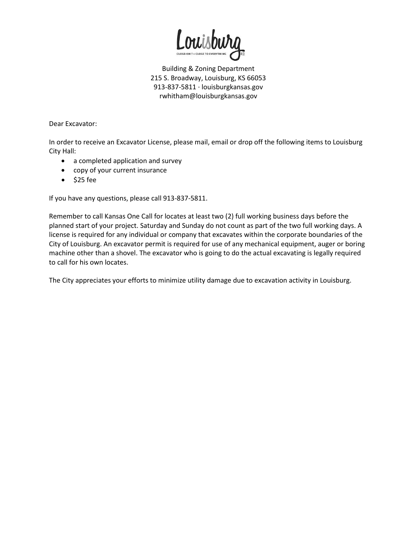

Dear Excavator:

In order to receive an Excavator License, please mail, email or drop off the following items to Louisburg City Hall:

- a completed application and survey
- copy of your current insurance
- $\bullet$  \$25 fee

If you have any questions, please call 913-837-5811.

Remember to call Kansas One Call for locates at least two (2) full working business days before the planned start of your project. Saturday and Sunday do not count as part of the two full working days. A license is required for any individual or company that excavates within the corporate boundaries of the City of Louisburg. An excavator permit is required for use of any mechanical equipment, auger or boring machine other than a shovel. The excavator who is going to do the actual excavating is legally required to call for his own locates.

The City appreciates your efforts to minimize utility damage due to excavation activity in Louisburg.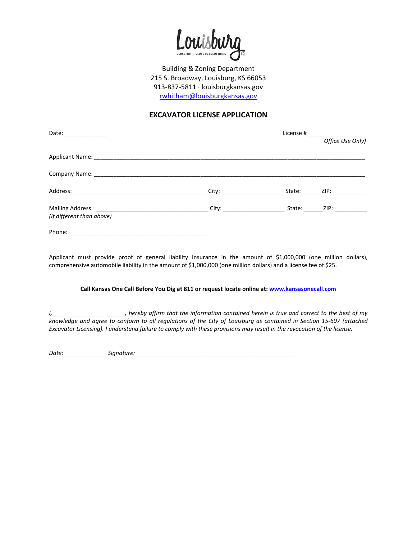

## **EXCAVATOR LICENSE APPLICATION**

| Date: _______________     |  |                  |
|---------------------------|--|------------------|
|                           |  | Office Use Only) |
|                           |  |                  |
|                           |  |                  |
|                           |  | State: ZIP:      |
| (If different than above) |  |                  |
|                           |  |                  |

Applicant must provide proof of general liability insurance in the amount of \$1,000,000 (one million dollars), comprehensive automobile liability in the amount of \$1,000,000 (one million dollars) and a license fee of \$25.

## **Call Kansas One Call Before You Dig at 811 or request locate online at[: www.kansasonecall.com](http://www.kansasonecall.com/)**

*I, \_\_\_\_\_\_\_\_\_\_\_\_\_\_\_\_\_\_\_\_\_\_, hereby affirm that the information contained herein is true and correct to the best of my knowledge and agree to conform to all regulations of the City of Louisburg as contained in Section 15-607 (attached Excavator Licensing). I understand failure to comply with these provisions may result in the revocation of the license.* 

*Date: \_\_\_\_\_\_\_\_\_\_\_\_\_ Signature: \_\_\_\_\_\_\_\_\_\_\_\_\_\_\_\_\_\_\_\_\_\_\_\_\_\_\_\_\_\_\_\_\_\_\_\_\_\_\_\_\_\_\_\_\_\_\_\_\_\_*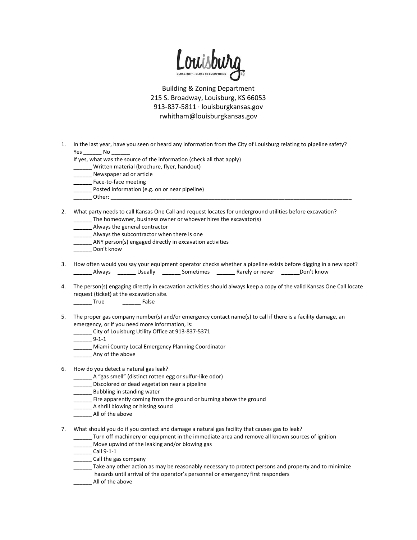

1. In the last year, have you seen or heard any information from the City of Louisburg relating to pipeline safety? Yes \_\_\_\_\_\_\_\_\_ No \_

If yes, what was the source of the information (check all that apply)

- \_\_\_\_\_\_ Written material (brochure, flyer, handout)
- Newspaper ad or article
- Face-to-face meeting
- Posted information (e.g. on or near pipeline)
- \_\_\_\_\_\_ Other: \_\_\_\_\_\_\_\_\_\_\_\_\_\_\_\_\_\_\_\_\_\_\_\_\_\_\_\_\_\_\_\_\_\_\_\_\_\_\_\_\_\_\_\_\_\_\_\_\_\_\_\_\_\_\_\_\_\_\_\_\_\_\_\_\_\_\_\_\_\_\_\_\_\_\_\_\_\_\_

2. What party needs to call Kansas One Call and request locates for underground utilities before excavation? The homeowner, business owner or whoever hires the excavator(s)

- Always the general contractor
- \_\_\_\_\_\_ Always the subcontractor when there is one
- \_\_\_\_\_\_ ANY person(s) engaged directly in excavation activities
- Don't know
- 3. How often would you say your equipment operator checks whether a pipeline exists before digging in a new spot? \_\_\_\_\_\_ Always \_\_\_\_\_\_ Usually \_\_\_\_\_\_ Sometimes \_\_\_\_\_\_ Rarely or never \_\_\_\_\_\_Don't know
- 4. The person(s) engaging directly in excavation activities should always keep a copy of the valid Kansas One Call locate request (ticket) at the excavation site.
	- \_\_\_\_\_\_ True \_\_\_\_\_\_ False
- 5. The proper gas company number(s) and/or emergency contact name(s) to call if there is a facility damage, an emergency, or if you need more information, is:
	- \_\_\_\_\_\_ City of Louisburg Utility Office at 913-837-5371
	- $-$ 9-1-1
		- \_\_\_\_\_\_ Miami County Local Emergency Planning Coordinator
	- Any of the above

## 6. How do you detect a natural gas leak?

- \_\_\_\_\_\_ A "gas smell" (distinct rotten egg or sulfur-like odor)
- \_\_\_\_\_\_ Discolored or dead vegetation near a pipeline
- \_\_\_\_\_\_ Bubbling in standing water
- \_\_\_\_\_\_ Fire apparently coming from the ground or burning above the ground
- \_\_\_\_\_\_ A shrill blowing or hissing sound
- \_\_\_\_\_\_ All of the above
- 7. What should you do if you contact and damage a natural gas facility that causes gas to leak?
	- \_\_\_\_\_\_ Turn off machinery or equipment in the immediate area and remove all known sources of ignition
	- Move upwind of the leaking and/or blowing gas
	- \_\_\_\_\_\_ Call 9-1-1
	- \_\_\_\_\_\_ Call the gas company
	- Take any other action as may be reasonably necessary to protect persons and property and to minimize hazards until arrival of the operator's personnel or emergency first responders
	- \_\_\_\_\_\_ All of the above